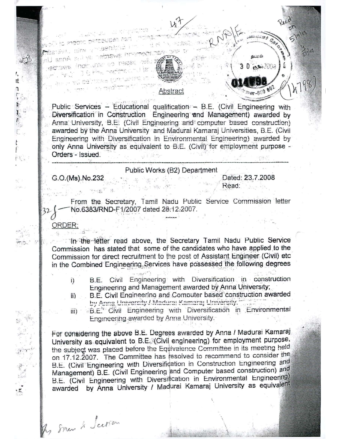i in nagar petteupet est. **Chile: Syll**, Cultor of Benitrical Line ar aranyin awarden ay isi Anna Uni **namber deserve the student awarder** i G. Paul Stadtong C. I yu delmako turmakadik

JÎ

۱,

ıť  $\mathfrak{g}$ 

řξ,

 $\frac{1}{2}$ 

a was du na mga p



 $-20707$ 

## Abstract

Public Services - Educational qualification - B.E. (Civil Engineering with Diversification in Construction Engineering and Management) awarded by Anna University, B.E. (Civil Engineering and computer based construction) awarded by the Anna University and Madural Kamaraj Universities, B.E. (Civil) Engineering with Diversification in Environmental Engineering) awarded by only Anna University as equivalent to B.E. (Civil) for employment purpose -Orders - Issued.

## Public Works (B2) Department

G.O.(Ms).No.232

In some & Sceran

ORDER:

Dated: 23.7.2008 Read:

From the Secretary, Tamil Nadu Public Service Commission letter No.6383/RND-F1/2007 dated 28:12:2007.

In the letter read above, the Secretary Tamil Nadu Public Service Commission has stated that some of the candidates who have applied to the Commission for direct recruitment to the post of Assistant Engineer (Civil) etc in the Combined Engineering Services have possessed the following degrees

- B.E. Civil Engineering with Diversification in construction i) Engineering and Management awarded by Anna University;
- B.E. Civil Engineering and Computer based construction awarded  $\mathbf{ii}$ by Anna University / Madural Kamaraj University.
- B.E.<sup>4</sup> Civil Engineering with Diversification in Environmental  $\overline{m}$ Engineering awarded by Anna University.

For considering the above B.E. Degrees awarded by Anna / Madurai Kamaraj University as equivalent to B.E. (Civil engineering) for employment purpose, the subject was placed before the Equivalence Committee in its meeting held on 17.12.2007. The Committee has resolved to recommend to consider the B.E. (Civil Engineering with Diversification in Construction Engineering and Management) B.E. (Civil Engineering and Computer based construction) and B.E. (Civil Engineering with Diversification in Environmental Engineering) awarded by Anna University / Madurai Kamaraj University as equivalent